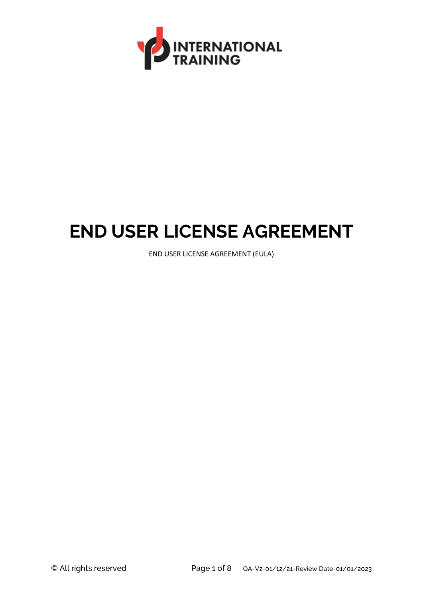

# **END USER LICENSE AGREEMENT**

END USER LICENSE AGREEMENT (EULA)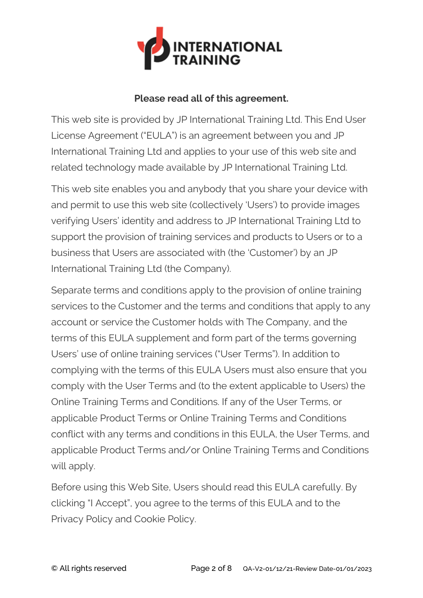

#### **Please read all of this agreement.**

This web site is provided by JP International Training Ltd. This End User License Agreement ("EULA") is an agreement between you and JP International Training Ltd and applies to your use of this web site and related technology made available by JP International Training Ltd.

This web site enables you and anybody that you share your device with and permit to use this web site (collectively 'Users') to provide images verifying Users' identity and address to JP International Training Ltd to support the provision of training services and products to Users or to a business that Users are associated with (the 'Customer') by an JP International Training Ltd (the Company).

Separate terms and conditions apply to the provision of online training services to the Customer and the terms and conditions that apply to any account or service the Customer holds with The Company, and the terms of this EULA supplement and form part of the terms governing Users' use of online training services ("User Terms"). In addition to complying with the terms of this EULA Users must also ensure that you comply with the User Terms and (to the extent applicable to Users) the Online Training Terms and Conditions. If any of the User Terms, or applicable Product Terms or Online Training Terms and Conditions conflict with any terms and conditions in this EULA, the User Terms, and applicable Product Terms and/or Online Training Terms and Conditions will apply.

Before using this Web Site, Users should read this EULA carefully. By clicking "I Accept", you agree to the terms of this EULA and to the Privacy Policy and Cookie Policy.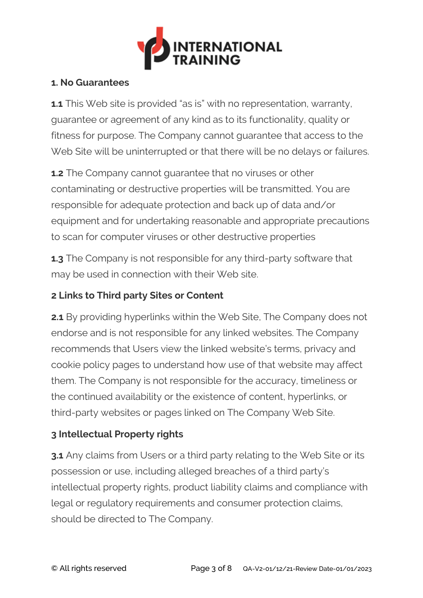

#### **1. No Guarantees**

**1.1** This Web site is provided "as is" with no representation, warranty, guarantee or agreement of any kind as to its functionality, quality or fitness for purpose. The Company cannot guarantee that access to the Web Site will be uninterrupted or that there will be no delays or failures.

**1.2** The Company cannot guarantee that no viruses or other contaminating or destructive properties will be transmitted. You are responsible for adequate protection and back up of data and/or equipment and for undertaking reasonable and appropriate precautions to scan for computer viruses or other destructive properties

**1.3** The Company is not responsible for any third-party software that may be used in connection with their Web site.

### **2 Links to Third party Sites or Content**

**2.1** By providing hyperlinks within the Web Site, The Company does not endorse and is not responsible for any linked websites. The Company recommends that Users view the linked website's terms, privacy and cookie policy pages to understand how use of that website may affect them. The Company is not responsible for the accuracy, timeliness or the continued availability or the existence of content, hyperlinks, or third-party websites or pages linked on The Company Web Site.

#### **3 Intellectual Property rights**

**3.1** Any claims from Users or a third party relating to the Web Site or its possession or use, including alleged breaches of a third party's intellectual property rights, product liability claims and compliance with legal or regulatory requirements and consumer protection claims, should be directed to The Company.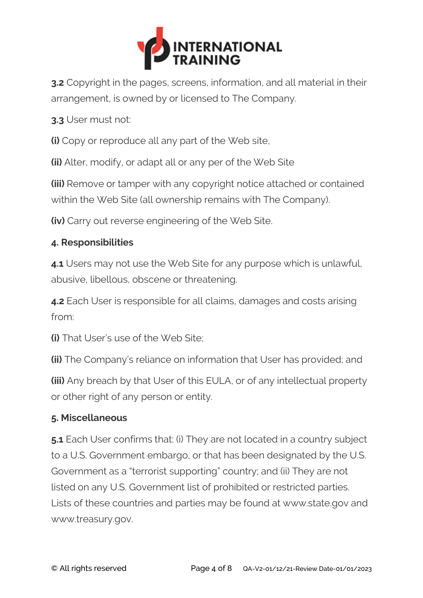

**3.2** Copyright in the pages, screens, information, and all material in their arrangement, is owned by or licensed to The Company.

**3.3** User must not:

**(i)** Copy or reproduce all any part of the Web site,

**(ii)** Alter, modify, or adapt all or any per of the Web Site

**(iii)** Remove or tamper with any copyright notice attached or contained within the Web Site (all ownership remains with The Company).

**(iv)** Carry out reverse engineering of the Web Site.

#### **4. Responsibilities**

**4.1** Users may not use the Web Site for any purpose which is unlawful, abusive, libellous, obscene or threatening.

**4.2** Each User is responsible for all claims, damages and costs arising from:

**(i)** That User's use of the Web Site;

**(ii)** The Company's reliance on information that User has provided; and

**(iii)** Any breach by that User of this EULA, or of any intellectual property or other right of any person or entity.

#### **5. Miscellaneous**

**5.1** Each User confirms that: (i) They are not located in a country subject to a U.S. Government embargo, or that has been designated by the U.S. Government as a "terrorist supporting" country; and (ii) They are not listed on any U.S. Government list of prohibited or restricted parties. Lists of these countries and parties may be found at www.state.gov and www.treasury.gov.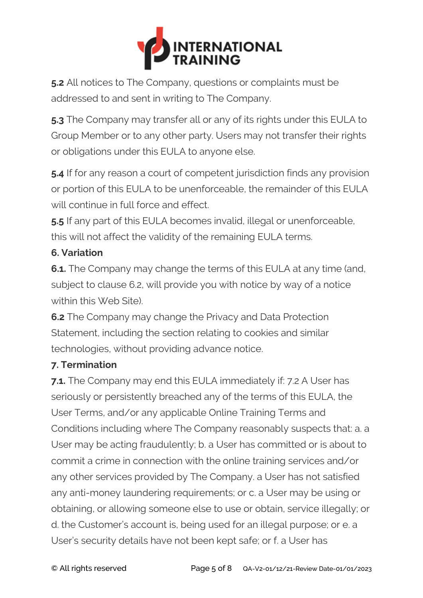

**5.2** All notices to The Company, questions or complaints must be addressed to and sent in writing to The Company.

**5.3** The Company may transfer all or any of its rights under this EULA to Group Member or to any other party. Users may not transfer their rights or obligations under this EULA to anyone else.

**5.4** If for any reason a court of competent jurisdiction finds any provision or portion of this EULA to be unenforceable, the remainder of this EULA will continue in full force and effect.

**5.5** If any part of this EULA becomes invalid, illegal or unenforceable, this will not affect the validity of the remaining EULA terms.

#### **6. Variation**

**6.1.** The Company may change the terms of this EULA at any time (and, subject to clause 6.2, will provide you with notice by way of a notice within this Web Site).

**6.2** The Company may change the Privacy and Data Protection Statement, including the section relating to cookies and similar technologies, without providing advance notice.

## **7. Termination**

**7.1.** The Company may end this EULA immediately if: 7.2 A User has seriously or persistently breached any of the terms of this EULA, the User Terms, and/or any applicable Online Training Terms and Conditions including where The Company reasonably suspects that: a. a User may be acting fraudulently; b. a User has committed or is about to commit a crime in connection with the online training services and/or any other services provided by The Company. a User has not satisfied any anti-money laundering requirements; or c. a User may be using or obtaining, or allowing someone else to use or obtain, service illegally; or d. the Customer's account is, being used for an illegal purpose; or e. a User's security details have not been kept safe; or f. a User has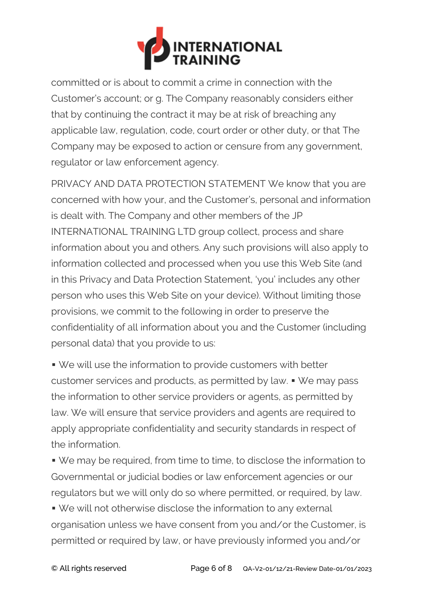

committed or is about to commit a crime in connection with the Customer's account; or g. The Company reasonably considers either that by continuing the contract it may be at risk of breaching any applicable law, regulation, code, court order or other duty, or that The Company may be exposed to action or censure from any government, regulator or law enforcement agency.

PRIVACY AND DATA PROTECTION STATEMENT We know that you are concerned with how your, and the Customer's, personal and information is dealt with. The Company and other members of the JP INTERNATIONAL TRAINING LTD group collect, process and share information about you and others. Any such provisions will also apply to information collected and processed when you use this Web Site (and in this Privacy and Data Protection Statement, 'you' includes any other person who uses this Web Site on your device). Without limiting those provisions, we commit to the following in order to preserve the confidentiality of all information about you and the Customer (including personal data) that you provide to us:

■ We will use the information to provide customers with better customer services and products, as permitted by law. ▪ We may pass the information to other service providers or agents, as permitted by law. We will ensure that service providers and agents are required to apply appropriate confidentiality and security standards in respect of the information.

▪ We may be required, from time to time, to disclose the information to Governmental or judicial bodies or law enforcement agencies or our regulators but we will only do so where permitted, or required, by law.

■ We will not otherwise disclose the information to any external organisation unless we have consent from you and/or the Customer, is permitted or required by law, or have previously informed you and/or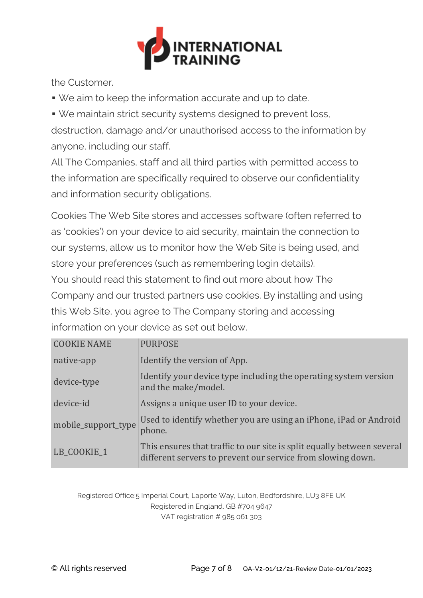

the Customer.

- We aim to keep the information accurate and up to date.
- We maintain strict security systems designed to prevent loss,

destruction, damage and/or unauthorised access to the information by anyone, including our staff.

All The Companies, staff and all third parties with permitted access to the information are specifically required to observe our confidentiality and information security obligations.

Cookies The Web Site stores and accesses software (often referred to as 'cookies') on your device to aid security, maintain the connection to our systems, allow us to monitor how the Web Site is being used, and store your preferences (such as remembering login details). You should read this statement to find out more about how The Company and our trusted partners use cookies. By installing and using this Web Site, you agree to The Company storing and accessing

information on your device as set out below.

| <b>COOKIE NAME</b>  | <b>PURPOSE</b>                                                                                                                        |
|---------------------|---------------------------------------------------------------------------------------------------------------------------------------|
| native-app          | Identify the version of App.                                                                                                          |
| device-type         | Identify your device type including the operating system version<br>and the make/model.                                               |
| device-id           | Assigns a unique user ID to your device.                                                                                              |
| mobile_support_type | Used to identify whether you are using an iPhone, iPad or Android<br>phone.                                                           |
| LB_COOKIE_1         | This ensures that traffic to our site is split equally between several<br>different servers to prevent our service from slowing down. |

Registered Office:5 Imperial Court, Laporte Way, Luton, Bedfordshire, LU3 8FE UK Registered in England. GB #704 9647 VAT registration # 985 061 303